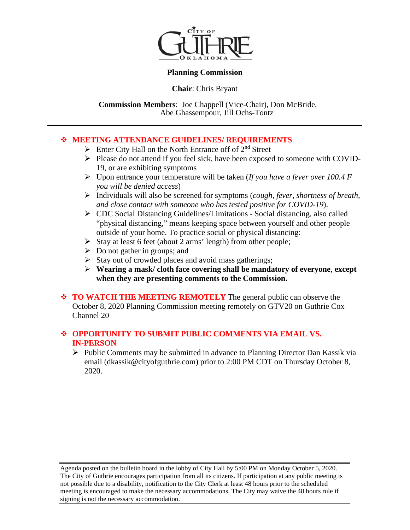

#### **Planning Commission**

**Chair**: Chris Bryant

 **Commission Members**: Joe Chappell (Vice-Chair), Don McBride, Abe Ghassempour, Jill Ochs-Tontz

#### **MEETING ATTENDANCE GUIDELINES/ REQUIREMENTS**

- $\triangleright$  Enter City Hall on the North Entrance off of  $2<sup>nd</sup>$  Street
- $\triangleright$  Please do not attend if you feel sick, have been exposed to someone with COVID-19, or are exhibiting symptoms
- Upon entrance your temperature will be taken (*If you have a fever over 100.4 F you will be denied access*)
- Individuals will also be screened for symptoms (*cough, fever, shortness of breath, and close contact with someone who has tested positive for COVID-19*).
- CDC Social Distancing Guidelines/Limitations Social distancing, also called "physical distancing," means keeping space between yourself and other people outside of your home. To practice social or physical distancing:
- $\triangleright$  Stay at least 6 feet (about 2 arms' length) from other people;
- $\triangleright$  Do not gather in groups; and
- $\triangleright$  Stay out of crowded places and avoid mass gatherings;
- **Wearing a mask/ cloth face covering shall be mandatory of everyone**, **except when they are presenting comments to the Commission.**
- **TO WATCH THE MEETING REMOTELY** The general public can observe the October 8, 2020 Planning Commission meeting remotely on GTV20 on Guthrie Cox Channel 20

#### **OPPORTUNITY TO SUBMIT PUBLIC COMMENTS VIA EMAIL VS. IN-PERSON**

 $\triangleright$  Public Comments may be submitted in advance to Planning Director Dan Kassik via email (dkassik@cityofguthrie.com) prior to 2:00 PM CDT on Thursday October 8, 2020.

Agenda posted on the bulletin board in the lobby of City Hall by 5:00 PM on Monday October 5, 2020. The City of Guthrie encourages participation from all its citizens. If participation at any public meeting is not possible due to a disability, notification to the City Clerk at least 48 hours prior to the scheduled meeting is encouraged to make the necessary accommodations. The City may waive the 48 hours rule if signing is not the necessary accommodation.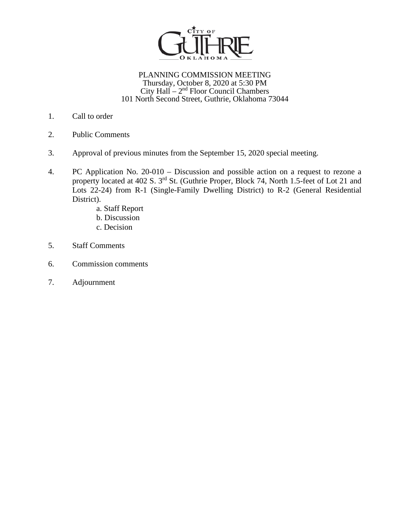

#### PLANNING COMMISSION MEETING Thursday, October 8, 2020 at 5:30 PM City Hall  $-2<sup>nd</sup>$  Floor Council Chambers 101 North Second Street, Guthrie, Oklahoma 73044

- 1. Call to order
- 2. Public Comments
- 3. Approval of previous minutes from the September 15, 2020 special meeting.
- 4. PC Application No. 20-010 Discussion and possible action on a request to rezone a property located at 402 S. 3<sup>rd</sup> St. (Guthrie Proper, Block 74, North 1.5-feet of Lot 21 and Lots 22-24) from R-1 (Single-Family Dwelling District) to R-2 (General Residential District).
	- a. Staff Report
	- b. Discussion
	- c. Decision
- 5. Staff Comments
- 6. Commission comments
- 7. Adjournment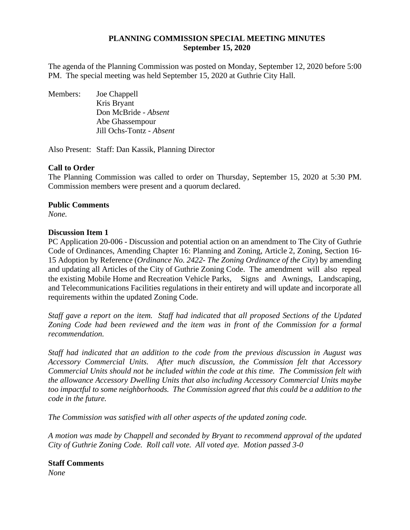#### **PLANNING COMMISSION SPECIAL MEETING MINUTES September 15, 2020**

The agenda of the Planning Commission was posted on Monday, September 12, 2020 before 5:00 PM. The special meeting was held September 15, 2020 at Guthrie City Hall.

Members: Joe Chappell Kris Bryant Don McBride *- Absent* Abe Ghassempour Jill Ochs-Tontz - *Absent*

Also Present: Staff: Dan Kassik, Planning Director

#### **Call to Order**

The Planning Commission was called to order on Thursday, September 15, 2020 at 5:30 PM. Commission members were present and a quorum declared.

#### **Public Comments**

*None.* 

#### **Discussion Item 1**

PC Application 20-006 - Discussion and potential action on an amendment to The City of Guthrie Code of Ordinances, Amending Chapter 16: Planning and Zoning, Article 2, Zoning, Section 16- 15 Adoption by Reference (*Ordinance No. 2422- The Zoning Ordinance of the City*) by amending and updating all Articles of the City of Guthrie Zoning Code. The amendment will also repeal the existing Mobile Home and Recreation Vehicle Parks, Signs and Awnings, Landscaping, and Telecommunications Facilities regulations in their entirety and will update and incorporate all requirements within the updated Zoning Code.

*Staff gave a report on the item. Staff had indicated that all proposed Sections of the Updated Zoning Code had been reviewed and the item was in front of the Commission for a formal recommendation.* 

*Staff had indicated that an addition to the code from the previous discussion in August was Accessory Commercial Units. After much discussion, the Commission felt that Accessory Commercial Units should not be included within the code at this time. The Commission felt with the allowance Accessory Dwelling Units that also including Accessory Commercial Units maybe too impactful to some neighborhoods. The Commission agreed that this could be a addition to the code in the future.* 

*The Commission was satisfied with all other aspects of the updated zoning code.* 

*A motion was made by Chappell and seconded by Bryant to recommend approval of the updated City of Guthrie Zoning Code. Roll call vote. All voted aye. Motion passed 3-0* 

**Staff Comments** *None*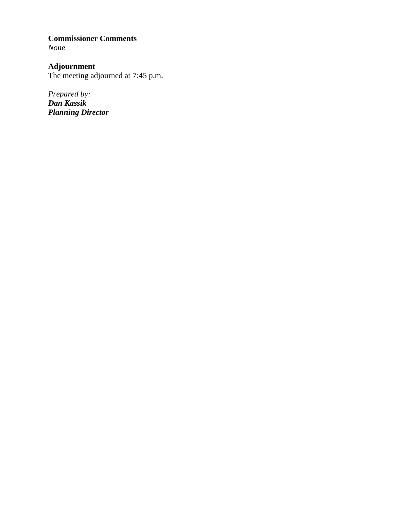#### **Commissioner Comments** *None*

#### **Adjournment**

The meeting adjourned at 7:45 p.m.

*Prepared by: Dan Kassik Planning Director*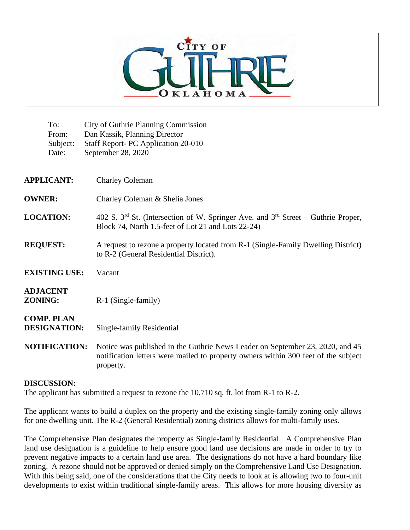

| To:<br>From:<br>Subject:<br>Date:        | <b>City of Guthrie Planning Commission</b><br>Dan Kassik, Planning Director<br>Staff Report- PC Application 20-010<br>September 28, 2020                                         |
|------------------------------------------|----------------------------------------------------------------------------------------------------------------------------------------------------------------------------------|
| <b>APPLICANT:</b>                        | <b>Charley Coleman</b>                                                                                                                                                           |
| <b>OWNER:</b>                            | Charley Coleman & Shelia Jones                                                                                                                                                   |
| <b>LOCATION:</b>                         | 402 S. 3 <sup>rd</sup> St. (Intersection of W. Springer Ave. and 3 <sup>rd</sup> Street – Guthrie Proper,<br>Block 74, North 1.5-feet of Lot 21 and Lots 22-24)                  |
| <b>REQUEST:</b>                          | A request to rezone a property located from R-1 (Single-Family Dwelling District)<br>to R-2 (General Residential District).                                                      |
| <b>EXISTING USE:</b>                     | Vacant                                                                                                                                                                           |
| <b>ADJACENT</b><br><b>ZONING:</b>        | R-1 (Single-family)                                                                                                                                                              |
| <b>COMP. PLAN</b><br><b>DESIGNATION:</b> | Single-family Residential                                                                                                                                                        |
| <b>NOTIFICATION:</b>                     | Notice was published in the Guthrie News Leader on September 23, 2020, and 45<br>notification letters were mailed to property owners within 300 feet of the subject<br>property. |

#### **DISCUSSION:**

The applicant has submitted a request to rezone the 10,710 sq. ft. lot from R-1 to R-2.

The applicant wants to build a duplex on the property and the existing single-family zoning only allows for one dwelling unit. The R-2 (General Residential) zoning districts allows for multi-family uses.

The Comprehensive Plan designates the property as Single-family Residential. A Comprehensive Plan land use designation is a guideline to help ensure good land use decisions are made in order to try to prevent negative impacts to a certain land use area. The designations do not have a hard boundary like zoning. A rezone should not be approved or denied simply on the Comprehensive Land Use Designation. With this being said, one of the considerations that the City needs to look at is allowing two to four-unit developments to exist within traditional single-family areas. This allows for more housing diversity as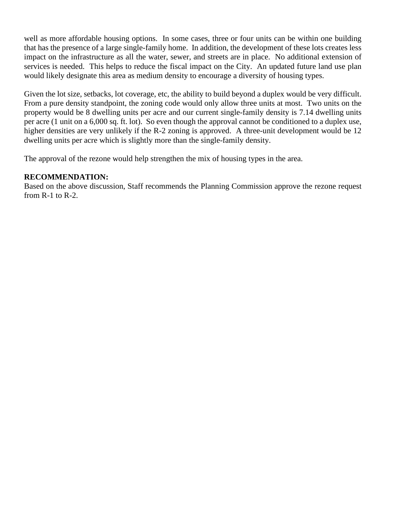well as more affordable housing options. In some cases, three or four units can be within one building that has the presence of a large single-family home. In addition, the development of these lots creates less impact on the infrastructure as all the water, sewer, and streets are in place. No additional extension of services is needed. This helps to reduce the fiscal impact on the City. An updated future land use plan would likely designate this area as medium density to encourage a diversity of housing types.

Given the lot size, setbacks, lot coverage, etc, the ability to build beyond a duplex would be very difficult. From a pure density standpoint, the zoning code would only allow three units at most. Two units on the property would be 8 dwelling units per acre and our current single-family density is 7.14 dwelling units per acre (1 unit on a 6,000 sq. ft. lot). So even though the approval cannot be conditioned to a duplex use, higher densities are very unlikely if the R-2 zoning is approved. A three-unit development would be 12 dwelling units per acre which is slightly more than the single-family density.

The approval of the rezone would help strengthen the mix of housing types in the area.

#### **RECOMMENDATION:**

Based on the above discussion, Staff recommends the Planning Commission approve the rezone request from R-1 to R-2.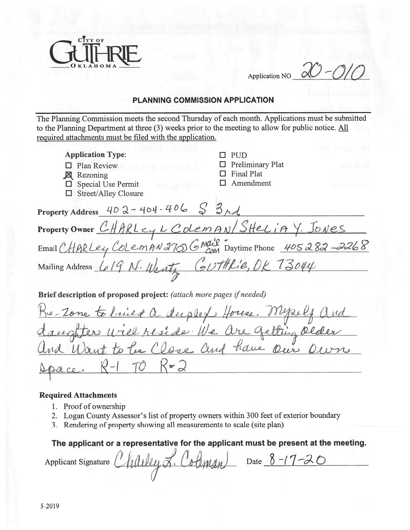

 $20 - 010$ **Application NO** 

#### **PLANNING COMMISSION APPLICATION**

The Planning Commission meets the second Thursday of each month. Applications must be submitted to the Planning Department at three (3) weeks prior to the meeting to allow for public notice. All required attachments must be filed with the application.

| <b>Application Type:</b>                                                                              | <b>PUD</b>                                                |
|-------------------------------------------------------------------------------------------------------|-----------------------------------------------------------|
| Plan Review                                                                                           | <b>Preliminary Plat</b>                                   |
| <b>X</b> Rezoning                                                                                     | <b>Final Plat</b>                                         |
| $\Box$ Special Use Permit                                                                             | Amendment                                                 |
| <b>Street/Alley Closure</b>                                                                           |                                                           |
| Property Address $402 - 404 - 406$ $\begin{array}{ c c c c c }\n\hline\n8 & 364\n\hline\n\end{array}$ |                                                           |
| Property Owner CHARLEY L ColemAN/SHELIAY. JONES                                                       |                                                           |
|                                                                                                       | Email CHARLey ColemAN 270 GMail Daytime Phone 405282-2268 |
| Mailing Address <u>Le19</u> N. Wentz Couttle: e, DR 73044                                             |                                                           |
| Brief description of proposed project: (attach more pages if needed)                                  |                                                           |
| Re-Zone to brief a duplef House. Myself and<br>daughter will reside We are getting older              |                                                           |
|                                                                                                       |                                                           |
|                                                                                                       |                                                           |
| $TO K = 2$                                                                                            |                                                           |
|                                                                                                       |                                                           |

#### **Required Attachments**

- 1. Proof of ownership
- 2. Logan County Assessor's list of property owners within 300 feet of exterior boundary
- 3. Rendering of property showing all measurements to scale (site plan)

The applicant or a representative for the applicant must be present at the meeting.

Applicant Signature Charley L. Coleman Date 8-17-20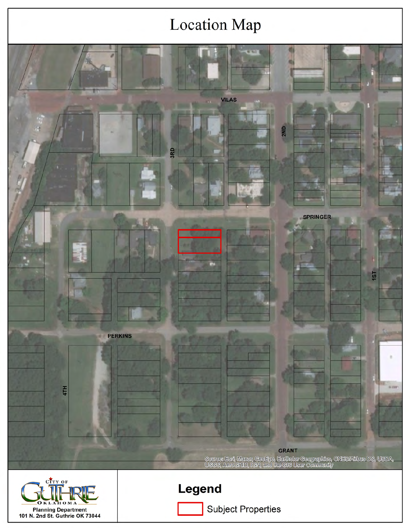# **Location Map**

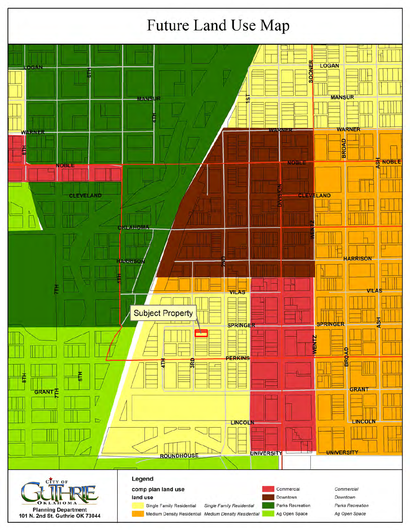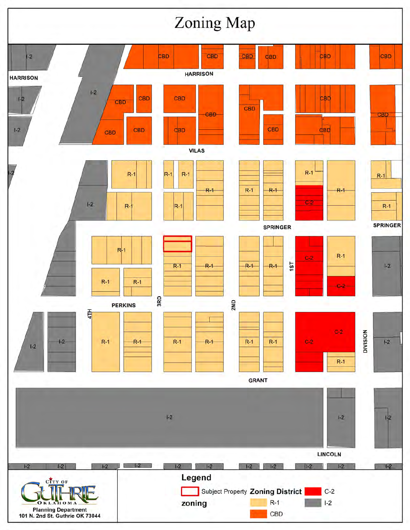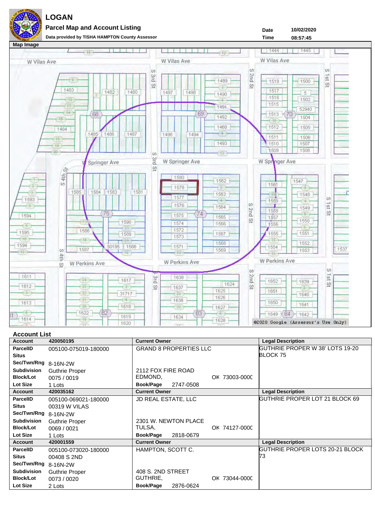

**Parcel Map and Account Listing**



**10/02/2020**

**Date**

#### **Account List**

| <b>Account</b>       | 420050195             | <b>Current Owner</b>          | <b>Legal Description</b>        |
|----------------------|-----------------------|-------------------------------|---------------------------------|
| <b>ParcelID</b>      | 005100-075019-180000  | <b>GRAND 8 PROPERTIES LLC</b> | GUTHRIE PROPER W 38' LOTS 19-20 |
| <b>Situs</b>         |                       |                               | <b>BLOCK 75</b>                 |
| Sec/Twn/Rng 8-16N-2W |                       |                               |                                 |
| <b>Subdivision</b>   | <b>Guthrie Proper</b> | 2112 FOX FIRE ROAD            |                                 |
| <b>Block/Lot</b>     | 0075 / 0019           | EDMOND,<br>OK 73003-0000      |                                 |
| Lot Size             | 1 Lots                | <b>Book/Page</b><br>2747-0508 |                                 |
| <b>Account</b>       | 420035162             | <b>Current Owner</b>          | <b>Legal Description</b>        |
| <b>ParcelID</b>      | 005100-069021-180000  | <b>JD REAL ESTATE, LLC</b>    | GUTHRIE PROPER LOT 21 BLOCK 69  |
| <b>Situs</b>         | 00319 W VILAS         |                               |                                 |
| Sec/Twn/Rng 8-16N-2W |                       |                               |                                 |
| Subdivision          | <b>Guthrie Proper</b> | 2301 W. NEWTON PLACE          |                                 |
| <b>Block/Lot</b>     | 0069/0021             | TULSA,<br>OK 74127-0000       |                                 |
| Lot Size             | 1 Lots                | Book/Page 2818-0679           |                                 |
| <b>Account</b>       | 420001559             | <b>Current Owner</b>          | <b>Legal Description</b>        |
| <b>ParcelID</b>      | 005100-073020-180000  | HAMPTON, SCOTT C.             | GUTHRIE PROPER LOTS 20-21 BLOCK |
| <b>Situs</b>         | 00408 S 2ND           |                               | 73                              |
| Sec/Twn/Rng 8-16N-2W |                       |                               |                                 |
| <b>Subdivision</b>   | <b>Guthrie Proper</b> | 408 S. 2ND STREET             |                                 |
| <b>Block/Lot</b>     | 0073 / 0020           | GUTHRIE,<br>OK 73044-0000     |                                 |
| Lot Size             | 2 Lots                | Book/Page<br>2876-0624        |                                 |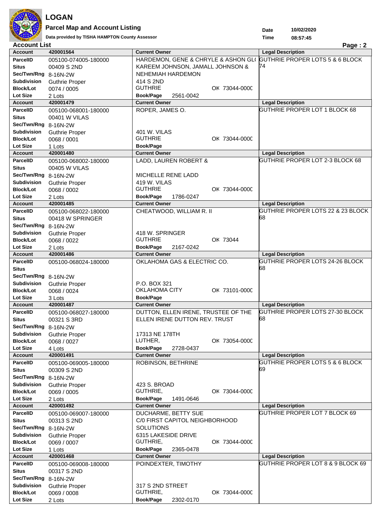

**Parcel Map and Account Listing**

Data provided by TISHA HAMPTON County Assessor **1988 1988 1998 1999 1999 1999 1999 1999 1999 1999 1999 1999 1999 1999 1999 1999 1999 1999 1999 1999 1999 1999 1999 1999 1999**

**10/02/2020**

**Date Time**

| <b>Account List</b><br>Page: 2 |                       |                                     |                                   |
|--------------------------------|-----------------------|-------------------------------------|-----------------------------------|
| <b>Account</b>                 | 420001564             | <b>Current Owner</b>                | <b>Legal Description</b>          |
| <b>ParcelID</b>                | 005100-074005-180000  | HARDEMON, GENE & CHRYLE & ASHON GLO | GUTHRIE PROPER LOTS 5 & 6 BLOCK   |
| <b>Situs</b>                   | 00409 S 2ND           | KAREEM JOHNSON, JAMALL JOHNSON &    | 74                                |
| Sec/Twn/Rng 8-16N-2W           |                       | NEHEMIAH HARDEMON                   |                                   |
| Subdivision                    | <b>Guthrie Proper</b> | 414 S 2ND                           |                                   |
| <b>Block/Lot</b>               | 0074 / 0005           | <b>GUTHRIE</b><br>OK 73044-0000     |                                   |
| <b>Lot Size</b>                | 2 Lots                | <b>Book/Page</b><br>2561-0042       |                                   |
| <b>Account</b>                 | 420001479             | <b>Current Owner</b>                | <b>Legal Description</b>          |
| ParcelID                       | 005100-068001-180000  | ROPER, JAMES O.                     | GUTHRIE PROPER LOT 1 BLOCK 68     |
| <b>Situs</b>                   | 00401 W VILAS         |                                     |                                   |
| Sec/Twn/Rng                    | 8-16N-2W              |                                     |                                   |
| <b>Subdivision</b>             | <b>Guthrie Proper</b> | 401 W. VILAS                        |                                   |
| <b>Block/Lot</b>               | 0068 / 0001           | <b>GUTHRIE</b><br>OK 73044-0000     |                                   |
| <b>Lot Size</b>                | 1 Lots                | <b>Book/Page</b>                    |                                   |
| <b>Account</b>                 | 420001480             | <b>Current Owner</b>                | <b>Legal Description</b>          |
| <b>ParcelID</b>                | 005100-068002-180000  | LADD, LAUREN ROBERT &               | GUTHRIE PROPER LOT 2-3 BLOCK 68   |
| <b>Situs</b>                   | 00405 W VILAS         |                                     |                                   |
| Sec/Twn/Rng 8-16N-2W           |                       | MICHELLE RENE LADD                  |                                   |
| <b>Subdivision</b>             | <b>Guthrie Proper</b> | 419 W. VILAS                        |                                   |
| <b>Block/Lot</b>               | 0068 / 0002           | <b>GUTHRIE</b><br>OK 73044-0000     |                                   |
| Lot Size                       | 2 Lots                | Book/Page<br>1786-0247              |                                   |
| <b>Account</b>                 | 420001485             | <b>Current Owner</b>                | <b>Legal Description</b>          |
| <b>ParcelID</b>                | 005100-068022-180000  | CHEATWOOD, WILLIAM R. II            | GUTHRIE PROPER LOTS 22 & 23 BLOCK |
| <b>Situs</b>                   | 00418 W SPRINGER      |                                     | 68                                |
| Sec/Twn/Rng 8-16N-2W           |                       |                                     |                                   |
| Subdivision                    | <b>Guthrie Proper</b> | 418 W. SPRINGER                     |                                   |
| <b>Block/Lot</b>               | 0068 / 0022           | <b>GUTHRIE</b><br>OK 73044          |                                   |
| <b>Lot Size</b>                | 2 Lots                | <b>Book/Page</b><br>2167-0242       |                                   |
| <b>Account</b>                 | 420001486             | <b>Current Owner</b>                | <b>Legal Description</b>          |
| <b>ParcelID</b>                | 005100-068024-180000  | OKLAHOMA GAS & ELECTRIC CO.         | GUTHRIE PROPER LOTS 24-26 BLOCK   |
| <b>Situs</b>                   |                       |                                     | 68                                |
| Sec/Twn/Rng 8-16N-2W           |                       |                                     |                                   |
| <b>Subdivision</b>             | <b>Guthrie Proper</b> | P.O. BOX 321                        |                                   |
| <b>Block/Lot</b>               | 0068 / 0024           | OKLAHOMA CITY<br>OK 73101-0000      |                                   |
| Lot Size                       | 3 Lots                | <b>Book/Page</b>                    |                                   |
| <b>Account</b>                 | 420001487             | <b>Current Owner</b>                | <b>Legal Description</b>          |
| <b>ParcelID</b>                | 005100-068027-180000  | DUTTON, ELLEN IRENE, TRUSTEE OF THE | GUTHRIE PROPER LOTS 27-30 BLOCK   |
| <b>Situs</b>                   | 00321 S 3RD           | ELLEN IRENE DUTTON REV. TRUST       | 68                                |
| Sec/Twn/Rng 8-16N-2W           |                       |                                     |                                   |
| <b>Subdivision</b>             | <b>Guthrie Proper</b> | 17313 NE 178TH                      |                                   |
| <b>Block/Lot</b>               | 0068 / 0027           | LUTHER,<br>OK 73054-0000            |                                   |
| <b>Lot Size</b>                | 4 Lots                | Book/Page<br>2728-0437              |                                   |
| <b>Account</b>                 | 420001491             | <b>Current Owner</b>                | <b>Legal Description</b>          |
| <b>ParcelID</b>                | 005100-069005-180000  | ROBINSON, BETHRINE                  | GUTHRIE PROPER LOTS 5 & 6 BLOCK   |
| <b>Situs</b>                   | 00309 S 2ND           |                                     | 69                                |
| Sec/Twn/Rng                    | 8-16N-2W              |                                     |                                   |
| <b>Subdivision</b>             | <b>Guthrie Proper</b> | 423 S. BROAD                        |                                   |
| <b>Block/Lot</b>               | 0069 / 0005           | GUTHRIE,<br>OK 73044-0000           |                                   |
| Lot Size                       | 2 Lots                | Book/Page<br>1491-0646              |                                   |
| <b>Account</b>                 | 420001492             | <b>Current Owner</b>                | <b>Legal Description</b>          |
| <b>ParcelID</b>                | 005100-069007-180000  | DUCHARME, BETTY SUE                 | GUTHRIE PROPER LOT 7 BLOCK 69     |
| <b>Situs</b>                   | 00313 S 2ND           | C/0 FIRST CAPITOL NEIGHBORHOOD      |                                   |
| Sec/Twn/Rng                    | 8-16N-2W              | <b>SOLUTIONS</b>                    |                                   |
| <b>Subdivision</b>             | <b>Guthrie Proper</b> | 6315 LAKESIDE DRIVE                 |                                   |
| <b>Block/Lot</b>               | 0069 / 0007           | GUTHRIE,<br>OK 73044-0000           |                                   |
| Lot Size                       | 1 Lots                | <b>Book/Page</b><br>2365-0478       |                                   |
| <b>Account</b>                 | 420001468             | <b>Current Owner</b>                | <b>Legal Description</b>          |
| <b>ParcelID</b>                | 005100-069008-180000  | POINDEXTER, TIMOTHY                 | GUTHRIE PROPER LOT 8 & 9 BLOCK 69 |
| <b>Situs</b>                   | 00317 S 2ND           |                                     |                                   |
| Sec/Twn/Rng 8-16N-2W           |                       |                                     |                                   |
| <b>Subdivision</b>             | <b>Guthrie Proper</b> | 317 S 2ND STREET                    |                                   |
| <b>Block/Lot</b>               | 0069 / 0008           | GUTHRIE,<br>OK 73044-0000           |                                   |
| Lot Size                       | 2 Lots                | <b>Book/Page</b><br>2302-0170       |                                   |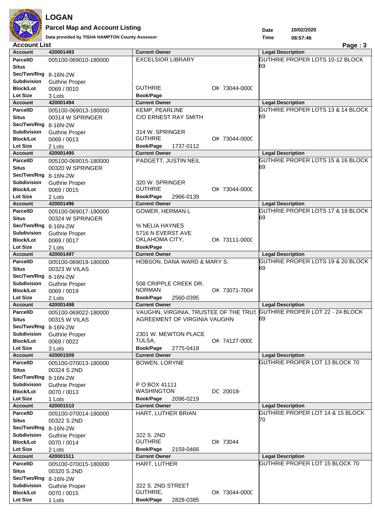

### **LOGAN Parcel Map and Account Listing**

**Data provided by TISHA HAMPTON County Assessor 08:57:46**

**10/02/2020 Date Time**

| <b>Account List</b>                        |                       |                                                                        | Page: 3                           |
|--------------------------------------------|-----------------------|------------------------------------------------------------------------|-----------------------------------|
| <b>Account</b>                             | 420001493             | <b>Current Owner</b>                                                   | <b>Legal Description</b>          |
| <b>ParcelID</b>                            | 005100-069010-180000  | <b>EXCELSIOR LIBRARY</b>                                               | GUTHRIE PROPER LOTS 10-12 BLOCK   |
| <b>Situs</b>                               |                       |                                                                        | 69                                |
| Sec/Twn/Rng 8-16N-2W                       |                       |                                                                        |                                   |
| <b>Subdivision</b>                         | <b>Guthrie Proper</b> |                                                                        |                                   |
| <b>Block/Lot</b>                           | 0069 / 0010           | <b>GUTHRIE</b><br>OK 73044-0000                                        |                                   |
| Lot Size                                   | 3 Lots                | Book/Page                                                              |                                   |
| <b>Account</b>                             | 420001494             | <b>Current Owner</b>                                                   | <b>Legal Description</b>          |
| <b>ParcelID</b>                            | 005100-069013-180000  | KEMP, PEARLINE                                                         | GUTHRIE PROPER LOTS 13 & 14 BLOCK |
| <b>Situs</b>                               | 00314 W SPRINGER      | C/O ERNEST RAY SMITH                                                   | 69                                |
| Sec/Twn/Rng 8-16N-2W                       |                       |                                                                        |                                   |
| <b>Subdivision</b>                         | <b>Guthrie Proper</b> | 314 W. SPRINGER                                                        |                                   |
| <b>Block/Lot</b>                           | 0069 / 0013           | <b>GUTHRIE</b><br>OK 73044-0000                                        |                                   |
| <b>Lot Size</b>                            | 2 Lots                | Book/Page<br>1737-0112                                                 |                                   |
| <b>Account</b>                             | 420001495             | <b>Current Owner</b>                                                   | <b>Legal Description</b>          |
| <b>ParcelID</b>                            | 005100-069015-180000  | PADGETT, JUSTIN NEIL                                                   | GUTHRIE PROPER LOTS 15 & 16 BLOCK |
| <b>Situs</b>                               | 00320 W SPRINGER      |                                                                        | 69                                |
| Sec/Twn/Rng 8-16N-2W                       |                       |                                                                        |                                   |
| <b>Subdivision</b>                         | <b>Guthrie Proper</b> | 320 W. SPRINGER                                                        |                                   |
| <b>Block/Lot</b>                           | 0069 / 0015           | <b>GUTHRIE</b><br>OK 73044-0000                                        |                                   |
| <b>Lot Size</b>                            | 2 Lots                | Book/Page<br>2966-0139                                                 |                                   |
| <b>Account</b>                             | 420001496             | <b>Current Owner</b>                                                   | <b>Legal Description</b>          |
| <b>ParcelID</b>                            | 005100-069017-180000  | GOWER, HERMAN L                                                        | GUTHRIE PROPER LOTS 17 & 18 BLOCK |
| <b>Situs</b>                               | 00324 W SPRINGER      |                                                                        | 69                                |
| Sec/Twn/Rng 8-16N-2W                       |                       | % NELIA HAYNES                                                         |                                   |
| <b>Subdivision</b>                         | <b>Guthrie Proper</b> | 5716 N EVERST AVE                                                      |                                   |
| <b>Block/Lot</b>                           | 0069 / 0017           | OKLAHOMA CITY,<br>OK 73111-0000                                        |                                   |
| <b>Lot Size</b>                            | 2 Lots                | Book/Page                                                              |                                   |
| <b>Account</b>                             | 420001497             | <b>Current Owner</b>                                                   | <b>Legal Description</b>          |
| <b>ParcelID</b>                            | 005100-069019-180000  | HOBSON, DANA WARD & MARY S.                                            | GUTHRIE PROPER LOTS 19 & 20 BLOCK |
| <b>Situs</b>                               | 00323 W VILAS         |                                                                        | 69                                |
| Sec/Twn/Rng 8-16N-2W                       |                       |                                                                        |                                   |
| Subdivision                                | <b>Guthrie Proper</b> | 508 CRIPPLE CREEK DR.                                                  |                                   |
| <b>Block/Lot</b>                           | 0069 / 0019           | <b>NORMAN</b><br>OK 73071-7004                                         |                                   |
|                                            |                       |                                                                        |                                   |
| <b>Lot Size</b>                            | 2 Lots                | Book/Page<br>2560-0395                                                 |                                   |
| <b>Account</b>                             | 420001498             | <b>Current Owner</b>                                                   | <b>Legal Description</b>          |
| <b>ParcelID</b>                            | 005100-069022-180000  | VAUGHN, VIRGINIA, TRUSTEE OF THE TRUS GUTHRIE PROPER LOT 22 - 24 BLOCK |                                   |
| <b>Situs</b>                               | 00315 W VILAS         | AGREEMENT OF VIRGINIA VAUGHN                                           | 69                                |
| Sec/Twn/Rng 8-16N-2W                       |                       |                                                                        |                                   |
| <b>Subdivision</b>                         | <b>Guthrie Proper</b> | 2301 W. MEWTON PLACE                                                   |                                   |
| <b>Block/Lot</b>                           | 0069 / 0022           | TULSA,<br>OK 74127-0000                                                |                                   |
| Lot Size                                   | 3 Lots                | Book/Page<br>2775-0418                                                 |                                   |
| <b>Account</b>                             | 420001509             | <b>Current Owner</b>                                                   | <b>Legal Description</b>          |
| <b>ParcelID</b><br><b>Situs</b>            | 005100-070013-180000  | BOWEN, LORYNE                                                          | GUTHRIE PROPER LOT 13 BLOCK 70    |
|                                            | 00324 S 2ND           |                                                                        |                                   |
| Sec/Twn/Rng 8-16N-2W<br><b>Subdivision</b> |                       |                                                                        |                                   |
| <b>Block/Lot</b>                           | <b>Guthrie Proper</b> | P O BOX 41111<br><b>WASHINGTON</b>                                     |                                   |
| <b>Lot Size</b>                            | 0070 / 0013           | DC 20018-<br><b>Book/Page</b><br>2096-0219                             |                                   |
| <b>Account</b>                             | 1 Lots<br>420001510   | <b>Current Owner</b>                                                   | <b>Legal Description</b>          |
| <b>ParcelID</b>                            | 005100-070014-180000  | HART, LUTHER BRIAN                                                     | GUTHRIE PROPER LOT 14 & 15 BLOCK  |
| <b>Situs</b>                               | 00322 S 2ND           |                                                                        | 70                                |
| Sec/Twn/Rng 8-16N-2W                       |                       |                                                                        |                                   |
| <b>Subdivision</b>                         | <b>Guthrie Proper</b> | 322 S. 2ND                                                             |                                   |
| <b>Block/Lot</b>                           | 0070 / 0014           | <b>GUTHRIE</b><br>OK 73044                                             |                                   |
| <b>Lot Size</b>                            | 2 Lots                | Book/Page<br>2159-0466                                                 |                                   |
| <b>Account</b>                             | 420001511             | <b>Current Owner</b>                                                   | <b>Legal Description</b>          |
| <b>ParcelID</b>                            | 005100-070015-180000  | HART, LUTHER                                                           | GUTHRIE PROPER LOT 15 BLOCK 70    |
| <b>Situs</b>                               | 00320 S 2ND           |                                                                        |                                   |
| Sec/Twn/Rng 8-16N-2W                       |                       |                                                                        |                                   |
| <b>Subdivision</b>                         | <b>Guthrie Proper</b> | 322 S. 2ND STREET                                                      |                                   |
| <b>Block/Lot</b><br>Lot Size               | 0070 / 0015<br>1 Lots | GUTHRIE,<br>OK 73044-0000<br><b>Book/Page</b><br>2828-0385             |                                   |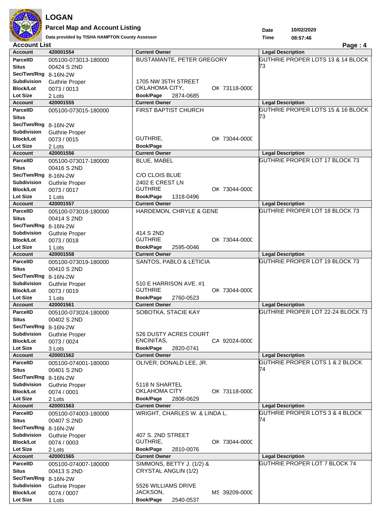

### **LOGAN Parcel Map and Account Listing**

**Data provided by TISHA HAMPTON County Assessor 08:57:46**

**Date**

| Kanada Kanada        | Data provided by TISHA HAMPTON County Assessor |                                 | Time<br>08:57:46                           |
|----------------------|------------------------------------------------|---------------------------------|--------------------------------------------|
| <b>Account List</b>  |                                                |                                 | Page: 4                                    |
| <b>Account</b>       | 420001554                                      | <b>Current Owner</b>            | <b>Legal Description</b>                   |
| <b>ParcelID</b>      | 005100-073013-180000                           | BUSTAMANTE, PETER GREGORY       | GUTHRIE PROPER LOTS 13 & 14 BLOCK          |
| <b>Situs</b>         | 00424 S 2ND                                    |                                 | 73                                         |
| Sec/Twn/Rng 8-16N-2W |                                                |                                 |                                            |
| <b>Subdivision</b>   | <b>Guthrie Proper</b>                          | 1705 NW 35TH STREET             |                                            |
| <b>Block/Lot</b>     | 0073 / 0013                                    | OKLAHOMA CITY,<br>OK 73118-0000 |                                            |
| Lot Size             | 2 Lots                                         | Book/Page<br>2874-0685          |                                            |
| <b>Account</b>       | 420001555                                      | <b>Current Owner</b>            | <b>Legal Description</b>                   |
| <b>ParcelID</b>      | 005100-073015-180000                           | FIRST BAPTIST CHURCH            | GUTHRIE PROPER LOTS 15 & 16 BLOCK          |
| <b>Situs</b>         |                                                |                                 | 73                                         |
| Sec/Twn/Rng 8-16N-2W |                                                |                                 |                                            |
| <b>Subdivision</b>   | <b>Guthrie Proper</b>                          |                                 |                                            |
| <b>Block/Lot</b>     | 0073 / 0015                                    | GUTHRIE,<br>OK 73044-0000       |                                            |
| Lot Size             | 2 Lots                                         | <b>Book/Page</b>                |                                            |
| <b>Account</b>       | 420001556                                      | <b>Current Owner</b>            | <b>Legal Description</b>                   |
| <b>ParcelID</b>      | 005100-073017-180000                           | <b>BLUE, MABEL</b>              | GUTHRIE PROPER LOT 17 BLOCK 73             |
| <b>Situs</b>         | 00416 S 2ND                                    |                                 |                                            |
| Sec/Twn/Rng 8-16N-2W |                                                | C/O CLOIS BLUE                  |                                            |
| <b>Subdivision</b>   | <b>Guthrie Proper</b>                          | 2402 E CREST LN                 |                                            |
| <b>Block/Lot</b>     | 0073 / 0017                                    | <b>GUTHRIE</b><br>OK 73044-0000 |                                            |
| Lot Size             | 1 Lots                                         | Book/Page<br>1318-0496          |                                            |
| <b>Account</b>       | 420001557                                      | <b>Current Owner</b>            | <b>Legal Description</b>                   |
| <b>ParcelID</b>      | 005100-073018-180000                           | HARDEMON, CHRYLE & GENE         | GUTHRIE PROPER LOT 18 BLOCK 73             |
| <b>Situs</b>         | 00414 S 2ND                                    |                                 |                                            |
| Sec/Twn/Rng 8-16N-2W |                                                |                                 |                                            |
| Subdivision          | <b>Guthrie Proper</b>                          | 414 S 2ND                       |                                            |
| <b>Block/Lot</b>     | 0073 / 0018                                    | <b>GUTHRIE</b><br>OK 73044-0000 |                                            |
| <b>Lot Size</b>      | 1 Lots                                         | <b>Book/Page</b><br>2595-0046   |                                            |
| <b>Account</b>       | 420001558                                      | <b>Current Owner</b>            | <b>Legal Description</b>                   |
| <b>ParcelID</b>      | 005100-073019-180000                           | SANTOS, PABLO & LETICIA         | GUTHRIE PROPER LOT 19 BLOCK 73             |
| Situs                | 00410 S 2ND                                    |                                 |                                            |
| Sec/Twn/Rng 8-16N-2W |                                                |                                 |                                            |
| <b>Subdivision</b>   | <b>Guthrie Proper</b>                          | 510 E HARRISON AVE. #1          |                                            |
| <b>Block/Lot</b>     | 0073 / 0019                                    | <b>GUTHRIE</b><br>OK 73044-0000 |                                            |
| Lot Size             | 1 Lots                                         | Book/Page<br>2760-0523          |                                            |
| <b>Account</b>       | 420001561                                      | <b>Current Owner</b>            | <b>Legal Description</b>                   |
| <b>ParcelID</b>      | 005100-073024-180000                           | SOBOTKA, STACIE KAY             | GUTHRIE PROPER LOT 22-24 BLOCK 73          |
| Situs                | 00402 S 2ND                                    |                                 |                                            |
| Sec/Twn/Rng 8-16N-2W |                                                |                                 |                                            |
| <b>Subdivision</b>   | <b>Guthrie Proper</b>                          | 526 DUSTY ACRES COURT           |                                            |
| <b>Block/Lot</b>     | 0073 / 0024                                    | ENCINITAS,<br>CA 92024-0000     |                                            |
| Lot Size             | 3 Lots                                         | Book/Page<br>2820-0741          |                                            |
| <b>Account</b>       | 420001562                                      | <b>Current Owner</b>            | <b>Legal Description</b>                   |
| <b>ParcelID</b>      | 005100-074001-180000                           | OLIVER, DONALD LEE, JR.         | <b>GUTHRIE PROPER LOTS 1 &amp; 2 BLOCK</b> |
| <b>Situs</b>         | 00401 S 2ND                                    |                                 | 74                                         |
| Sec/Twn/Rng 8-16N-2W |                                                |                                 |                                            |
| <b>Subdivision</b>   | <b>Guthrie Proper</b>                          | 5118 N SHARTEL                  |                                            |
| <b>Block/Lot</b>     | 0074 / 0001                                    | OKLAHOMA CITY<br>OK 73118-0000  |                                            |
| Lot Size             | 2 Lots                                         | Book/Page<br>2808-0629          |                                            |
| <b>Account</b>       | 420001563                                      | <b>Current Owner</b>            | <b>Legal Description</b>                   |
| <b>ParcelID</b>      | 005100-074003-180000                           | WRIGHT, CHARLES W. & LINDA L.   | GUTHRIE PROPER LOTS 3 & 4 BLOCK            |
| <b>Situs</b>         | 00407 S 2ND                                    |                                 | 74                                         |
| Sec/Twn/Rng          | 8-16N-2W                                       |                                 |                                            |
| <b>Subdivision</b>   | <b>Guthrie Proper</b>                          | 407 S. 2ND STREET               |                                            |
| <b>Block/Lot</b>     | 0074 / 0003                                    | GUTHRIE,<br>OK 73044-0000       |                                            |
| Lot Size             | 2 Lots                                         | Book/Page<br>2810-0076          |                                            |
| <b>Account</b>       | 420001565                                      | <b>Current Owner</b>            | <b>Legal Description</b>                   |
| <b>ParcelID</b>      | 005100-074007-180000                           | SIMMONS, BETTY J. (1/2) &       | GUTHRIE PROPER LOT 7 BLOCK 74              |
| Situs                | 00413 S 2ND                                    | CRYSTAL ANGLIN (1/2)            |                                            |
| Sec/Twn/Rng 8-16N-2W |                                                |                                 |                                            |
| <b>Subdivision</b>   | <b>Guthrie Proper</b>                          | 5526 WILLIAMS DRIVE             |                                            |
| <b>Block/Lot</b>     | 0074 / 0007                                    | JACKSON,<br>MS 39209-0000       |                                            |
|                      | 1 Lots                                         | Book/Page<br>2540-0537          |                                            |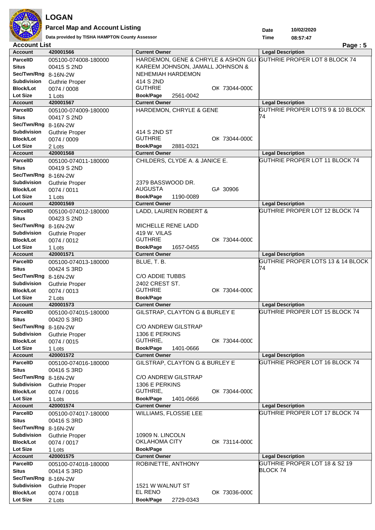

**Parcel Map and Account Listing**

Data provided by TISHA HAMPTON County Assessor<br> **Data provided by TISHA HAMPTON County Assessor**<br> **1 ist 1** 

**10/02/2020**

**Date Time**

| <b>Account List</b>                 |                       |                                                    | Page: $5$                                                  |
|-------------------------------------|-----------------------|----------------------------------------------------|------------------------------------------------------------|
| <b>Account</b>                      | 420001566             | <b>Current Owner</b>                               | <b>Legal Description</b>                                   |
| <b>ParcelID</b>                     | 005100-074008-180000  | HARDEMON, GENE & CHRYLE & ASHON GLO                | GUTHRIE PROPER LOT 8 BLOCK 74                              |
| <b>Situs</b>                        | 00415 S 2ND           | KAREEM JOHNSON, JAMALL JOHNSON &                   |                                                            |
| Sec/Twn/Rng 8-16N-2W                |                       | <b>NEHEMIAH HARDEMON</b>                           |                                                            |
| <b>Subdivision</b>                  | <b>Guthrie Proper</b> | 414 S 2ND                                          |                                                            |
| <b>Block/Lot</b>                    | 0074 / 0008           | <b>GUTHRIE</b><br>OK 73044-0000                    |                                                            |
| <b>Lot Size</b>                     | 1 Lots                | Book/Page<br>2561-0042                             |                                                            |
| <b>Account</b>                      | 420001567             | <b>Current Owner</b>                               | <b>Legal Description</b>                                   |
| <b>ParcelID</b>                     | 005100-074009-180000  | HARDEMON, CHRYLE & GENE                            | GUTHRIE PROPER LOTS 9 & 10 BLOCK                           |
| <b>Situs</b>                        | 00417 S 2ND           |                                                    | 74                                                         |
| Sec/Twn/Rng 8-16N-2W                |                       |                                                    |                                                            |
| <b>Subdivision</b>                  | <b>Guthrie Proper</b> | 414 S 2ND ST                                       |                                                            |
| <b>Block/Lot</b>                    | 0074 / 0009           | <b>GUTHRIE</b><br>OK 73044-0000                    |                                                            |
| <b>Lot Size</b>                     | 2 Lots                | <b>Book/Page</b><br>2881-0321                      |                                                            |
| <b>Account</b>                      | 420001568             | <b>Current Owner</b>                               | <b>Legal Description</b>                                   |
| <b>ParcelID</b>                     | 005100-074011-180000  | CHILDERS, CLYDE A. & JANICE E.                     | GUTHRIE PROPER LOT 11 BLOCK 74                             |
| <b>Situs</b>                        | 00419 S 2ND           |                                                    |                                                            |
| Sec/Twn/Rng 8-16N-2W                |                       |                                                    |                                                            |
| <b>Subdivision</b>                  |                       |                                                    |                                                            |
|                                     | <b>Guthrie Proper</b> | 2379 BASSWOOD DR.<br><b>AUGUSTA</b>                |                                                            |
| <b>Block/Lot</b><br><b>Lot Size</b> | 0074 / 0011           | GA 30906<br>Book/Page                              |                                                            |
|                                     | 1 Lots<br>420001569   | 1190-0089<br><b>Current Owner</b>                  |                                                            |
| <b>Account</b>                      |                       |                                                    | <b>Legal Description</b><br>GUTHRIE PROPER LOT 12 BLOCK 74 |
| <b>ParcelID</b>                     | 005100-074012-180000  | LADD, LAUREN ROBERT &                              |                                                            |
| <b>Situs</b>                        | 00423 S 2ND           |                                                    |                                                            |
| Sec/Twn/Rng 8-16N-2W                |                       | <b>MICHELLE RENE LADD</b>                          |                                                            |
| <b>Subdivision</b>                  | <b>Guthrie Proper</b> | 419 W. VILAS                                       |                                                            |
| <b>Block/Lot</b>                    | 0074 / 0012           | <b>GUTHRIE</b><br>OK 73044-0000                    |                                                            |
| <b>Lot Size</b>                     | 1 Lots                | <b>Book/Page</b><br>1657-0455                      |                                                            |
| <b>Account</b>                      | 420001571             | <b>Current Owner</b>                               | <b>Legal Description</b>                                   |
| <b>ParcelID</b>                     | 005100-074013-180000  | BLUE, T. B.                                        | GUTHRIE PROPER LOTS 13 & 14 BLOCK                          |
| <b>Situs</b>                        | 00424 S 3RD           |                                                    | 74                                                         |
|                                     |                       |                                                    |                                                            |
| Sec/Twn/Rng 8-16N-2W                |                       | C/O ADDIE TUBBS                                    |                                                            |
| Subdivision                         | <b>Guthrie Proper</b> | 2402 CREST ST.                                     |                                                            |
| <b>Block/Lot</b>                    | 0074 / 0013           | <b>GUTHRIE</b><br>OK 73044-0000                    |                                                            |
| <b>Lot Size</b>                     | 2 Lots                | <b>Book/Page</b>                                   |                                                            |
| <b>Account</b>                      | 420001573             | <b>Current Owner</b>                               | <b>Legal Description</b>                                   |
| <b>ParcelID</b>                     | 005100-074015-180000  | GILSTRAP, CLAYTON G & BURLEY E                     | GUTHRIE PROPER LOT 15 BLOCK 74                             |
| <b>Situs</b>                        | 00420 S 3RD           |                                                    |                                                            |
| Sec/Twn/Rng 8-16N-2W                |                       | C/O ANDREW GILSTRAP                                |                                                            |
| <b>Subdivision</b>                  | <b>Guthrie Proper</b> | 1306 E PERKINS                                     |                                                            |
| <b>Block/Lot</b>                    | 0074 / 0015           | GUTHRIE,<br>OK 73044-0000                          |                                                            |
| <b>Lot Size</b>                     | 1 Lots                | Book/Page<br>1401-0666                             |                                                            |
| <b>Account</b>                      | 420001572             | <b>Current Owner</b>                               | <b>Legal Description</b>                                   |
| <b>ParcelID</b>                     | 005100-074016-180000  | GILSTRAP, CLAYTON G & BURLEY E                     | GUTHRIE PROPER LOT 16 BLOCK 74                             |
| <b>Situs</b>                        | 00416 S 3RD           |                                                    |                                                            |
| Sec/Twn/Rng 8-16N-2W                |                       | C/O ANDREW GILSTRAP                                |                                                            |
| <b>Subdivision</b>                  | <b>Guthrie Proper</b> | 1306 E PERKINS                                     |                                                            |
| <b>Block/Lot</b>                    | 0074 / 0016           | GUTHRIE,<br>OK 73044-0000                          |                                                            |
| Lot Size                            | 1 Lots                | Book/Page<br>1401-0666                             |                                                            |
| <b>Account</b>                      | 420001574             | <b>Current Owner</b>                               | <b>Legal Description</b>                                   |
| <b>ParcelID</b>                     | 005100-074017-180000  | WILLIAMS, FLOSSIE LEE                              | GUTHRIE PROPER LOT 17 BLOCK 74                             |
| <b>Situs</b>                        | 00416 S 3RD           |                                                    |                                                            |
| Sec/Twn/Rng 8-16N-2W                |                       |                                                    |                                                            |
| <b>Subdivision</b>                  | <b>Guthrie Proper</b> | 10909 N. LINCOLN                                   |                                                            |
| <b>Block/Lot</b>                    | 0074 / 0017           | OKLAHOMA CITY<br>OK 73114-0000                     |                                                            |
| <b>Lot Size</b>                     | 1 Lots                | <b>Book/Page</b>                                   |                                                            |
| <b>Account</b>                      | 420001575             | <b>Current Owner</b>                               | <b>Legal Description</b>                                   |
| <b>ParcelID</b>                     | 005100-074018-180000  | ROBINETTE, ANTHONY                                 | GUTHRIE PROPER LOT 18 & S2 19                              |
| Situs                               | 00414 S 3RD           |                                                    | BLOCK 74                                                   |
| Sec/Twn/Rng 8-16N-2W                |                       |                                                    |                                                            |
| <b>Subdivision</b>                  | <b>Guthrie Proper</b> | 1521 W WALNUT ST                                   |                                                            |
| <b>Block/Lot</b><br>Lot Size        | 0074 / 0018<br>2 Lots | EL RENO<br>OK 73036-0000<br>Book/Page<br>2729-0343 |                                                            |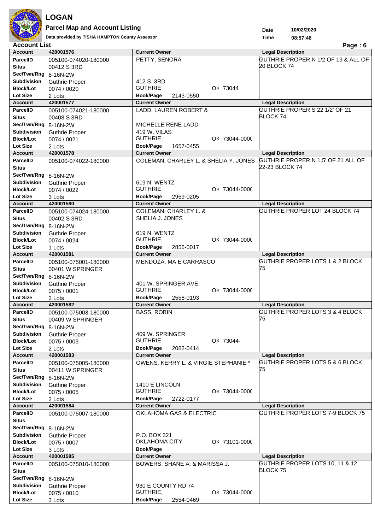

**Parcel Map and Account Listing**

**Data provided by TISHA HAMPTON County Assessor 08:57:48**

**10/02/2020 Date Time**

| <b>Account List</b>          |                       |                                                | Page: 6                                    |
|------------------------------|-----------------------|------------------------------------------------|--------------------------------------------|
| <b>Account</b>               | 420001576             | <b>Current Owner</b>                           | <b>Legal Description</b>                   |
| <b>ParcelID</b>              | 005100-074020-180000  | PETTY, SENORA                                  | GUTHRIE PROPER N 1/2 OF 19 & ALL OF        |
| <b>Situs</b>                 | 00412 S 3RD           |                                                | 20 BLOCK 74                                |
| Sec/Twn/Rng 8-16N-2W         |                       |                                                |                                            |
| Subdivision                  | <b>Guthrie Proper</b> | 412 S. 3RD                                     |                                            |
| <b>Block/Lot</b>             | 0074 / 0020           | <b>GUTHRIE</b><br>OK 73044                     |                                            |
| <b>Lot Size</b>              | 2 Lots                | Book/Page<br>2143-0550                         |                                            |
| <b>Account</b>               | 420001577             | <b>Current Owner</b>                           | <b>Legal Description</b>                   |
| <b>ParcelID</b>              | 005100-074021-180000  | LADD, LAUREN ROBERT &                          | GUTHRIE PROPER S 22 1/2' OF 21             |
| <b>Situs</b>                 | 00408 S 3RD           |                                                | BLOCK 74                                   |
| Sec/Twn/Rng 8-16N-2W         |                       | MICHELLE RENE LADD                             |                                            |
| Subdivision                  | <b>Guthrie Proper</b> | 419 W. VILAS                                   |                                            |
| <b>Block/Lot</b>             | 0074 / 0021           | <b>GUTHRIE</b><br>OK 73044-0000                |                                            |
| <b>Lot Size</b>              | 2 Lots                | <b>Book/Page</b><br>1657-0455                  |                                            |
| <b>Account</b>               | 420001578             | <b>Current Owner</b>                           | <b>Legal Description</b>                   |
| <b>ParcelID</b>              | 005100-074022-180000  | COLEMAN, CHARLEY L. & SHELIA Y. JONES          | GUTHRIE PROPER N 1.5' OF 21 ALL OF         |
| <b>Situs</b>                 |                       |                                                | 22-23 BLOCK 74                             |
| Sec/Twn/Rng 8-16N-2W         |                       |                                                |                                            |
| Subdivision                  |                       | 619 N. WENTZ                                   |                                            |
|                              | <b>Guthrie Proper</b> | <b>GUTHRIE</b>                                 |                                            |
| <b>Block/Lot</b><br>Lot Size | 0074 / 0022           | OK 73044-0000                                  |                                            |
| <b>Account</b>               | 3 Lots<br>420001580   | Book/Page<br>2969-0205<br><b>Current Owner</b> | <b>Legal Description</b>                   |
| <b>ParcelID</b>              |                       | <b>COLEMAN, CHARLEY L. &amp;</b>               | GUTHRIE PROPER LOT 24 BLOCK 74             |
|                              | 005100-074024-180000  |                                                |                                            |
| <b>Situs</b>                 | 00402 S 3RD           | SHELIA J. JONES                                |                                            |
| Sec/Twn/Rng 8-16N-2W         |                       |                                                |                                            |
| Subdivision                  | <b>Guthrie Proper</b> | 619 N. WENTZ                                   |                                            |
| <b>Block/Lot</b>             | 0074 / 0024           | GUTHRIE,<br>OK 73044-0000                      |                                            |
| <b>Lot Size</b>              | 1 Lots                | <b>Book/Page</b><br>2856-0017                  |                                            |
| <b>Account</b>               | 420001581             | <b>Current Owner</b>                           | <b>Legal Description</b>                   |
| <b>ParcelID</b>              | 005100-075001-180000  | MENDOZA, MA E CARRASCO                         | <b>GUTHRIE PROPER LOTS 1 &amp; 2 BLOCK</b> |
| <b>Situs</b>                 | 00401 W SPRINGER      |                                                | 75                                         |
| Sec/Twn/Rng 8-16N-2W         |                       |                                                |                                            |
| Subdivision                  | <b>Guthrie Proper</b> | 401 W. SPRINGER AVE.                           |                                            |
| <b>Block/Lot</b>             | 0075 / 0001           | <b>GUTHRIE</b><br>OK 73044-0000                |                                            |
| <b>Lot Size</b>              | 2 Lots                | Book/Page<br>2558-0193                         |                                            |
| <b>Account</b>               | 420001582             | <b>Current Owner</b>                           | <b>Legal Description</b>                   |
| <b>ParcelID</b>              | 005100-075003-180000  | <b>BASS, ROBIN</b>                             | <b>GUTHRIE PROPER LOTS 3 &amp; 4 BLOCK</b> |
| <b>Situs</b>                 | 00409 W SPRINGER      |                                                | 75                                         |
| Sec/Twn/Rng 8-16N-2W         |                       |                                                |                                            |
|                              |                       |                                                |                                            |
| <b>Subdivision</b>           | <b>Guthrie Proper</b> | 409 W. SPRINGER                                |                                            |
| <b>Block/Lot</b>             | 0075 / 0003           | <b>GUTHRIE</b><br>OK 73044-                    |                                            |
| <b>Lot Size</b>              | 2 Lots                | Book/Page<br>2082-0414                         |                                            |
| <b>Account</b>               | 420001583             | <b>Current Owner</b>                           | <b>Legal Description</b>                   |
| <b>ParcelID</b>              | 005100-075005-180000  | OWENS, KERRY L. & VIRGIE STEPHANIE *           | <b>GUTHRIE PROPER LOTS 5 &amp; 6 BLOCK</b> |
| <b>Situs</b>                 | 00411 W SPRINGER      |                                                | 75                                         |
| Sec/Twn/Rng 8-16N-2W         |                       |                                                |                                            |
| <b>Subdivision</b>           | <b>Guthrie Proper</b> | 1410 E LINCOLN                                 |                                            |
| <b>Block/Lot</b>             | 0075 / 0005           | <b>GUTHRIE</b><br>OK 73044-0000                |                                            |
| <b>Lot Size</b>              | 2 Lots                | Book/Page<br>2722-0177                         |                                            |
| <b>Account</b>               | 420001584             | <b>Current Owner</b>                           | <b>Legal Description</b>                   |
| <b>ParcelID</b>              | 005100-075007-180000  | OKLAHOMA GAS & ELECTRIC                        | GUTHRIE PROPER LOTS 7-9 BLOCK 75           |
| <b>Situs</b>                 |                       |                                                |                                            |
| Sec/Twn/Rng 8-16N-2W         |                       |                                                |                                            |
| <b>Subdivision</b>           | <b>Guthrie Proper</b> | P.O. BOX 321                                   |                                            |
| <b>Block/Lot</b>             | 0075 / 0007           | <b>OKLAHOMA CITY</b><br>OK 73101-0000          |                                            |
| <b>Lot Size</b>              | 3 Lots                | <b>Book/Page</b>                               |                                            |
| <b>Account</b>               | 420001585             | <b>Current Owner</b>                           | <b>Legal Description</b>                   |
| <b>ParcelID</b>              | 005100-075010-180000  | BOWERS, SHANE A. & MARISSA J.                  | GUTHRIE PROPER LOTS 10, 11 & 12            |
| <b>Situs</b>                 |                       |                                                | BLOCK 75                                   |
| Sec/Twn/Rng 8-16N-2W         |                       |                                                |                                            |
| <b>Subdivision</b>           | <b>Guthrie Proper</b> | 930 E COUNTY RD 74                             |                                            |
| <b>Block/Lot</b>             | 0075 / 0010           | GUTHRIE,<br>OK 73044-0000                      |                                            |